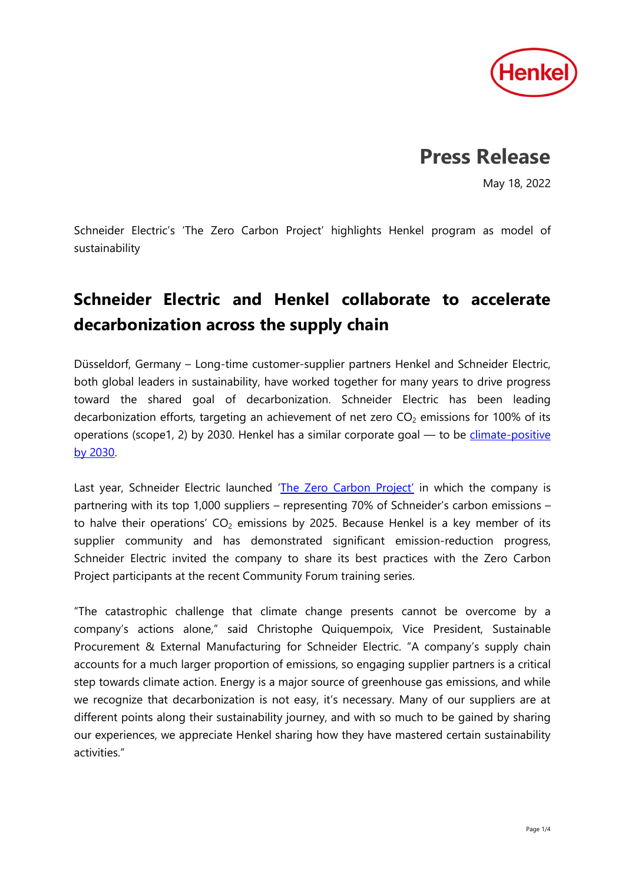

# **Press Release**

May 18, 2022

Schneider Electric's 'The Zero Carbon Project' highlights Henkel program as model of sustainability

## **Schneider Electric and Henkel collaborate to accelerate decarbonization across the supply chain**

Düsseldorf, Germany – Long-time customer-supplier partners Henkel and Schneider Electric, both global leaders in sustainability, have worked together for many years to drive progress toward the shared goal of decarbonization. Schneider Electric has been leading decarbonization efforts, targeting an achievement of net zero  $CO<sub>2</sub>$  emissions for 100% of its operations (scope1, 2) by 2030. Henkel has a similar corporate goal  $-$  to be climate-positive [by 2030.](https://www.henkel.com/sustainability/climate-positive)

Last year, Schneider Electric launched '[The Zero Carbon Project](https://www.se.com/ww/en/about-us/sustainability/zero-carbon-project.jsp)' in which the company is partnering with its top 1,000 suppliers – representing 70% of Schneider's carbon emissions – to halve their operations'  $CO<sub>2</sub>$  emissions by 2025. Because Henkel is a key member of its supplier community and has demonstrated significant emission-reduction progress, Schneider Electric invited the company to share its best practices with the Zero Carbon Project participants at the recent Community Forum training series.

"The catastrophic challenge that climate change presents cannot be overcome by a company's actions alone," said Christophe Quiquempoix, Vice President, Sustainable Procurement & External Manufacturing for Schneider Electric. "A company's supply chain accounts for a much larger proportion of emissions, so engaging supplier partners is a critical step towards climate action. Energy is a major source of greenhouse gas emissions, and while we recognize that decarbonization is not easy, it's necessary. Many of our suppliers are at different points along their sustainability journey, and with so much to be gained by sharing our experiences, we appreciate Henkel sharing how they have mastered certain sustainability activities."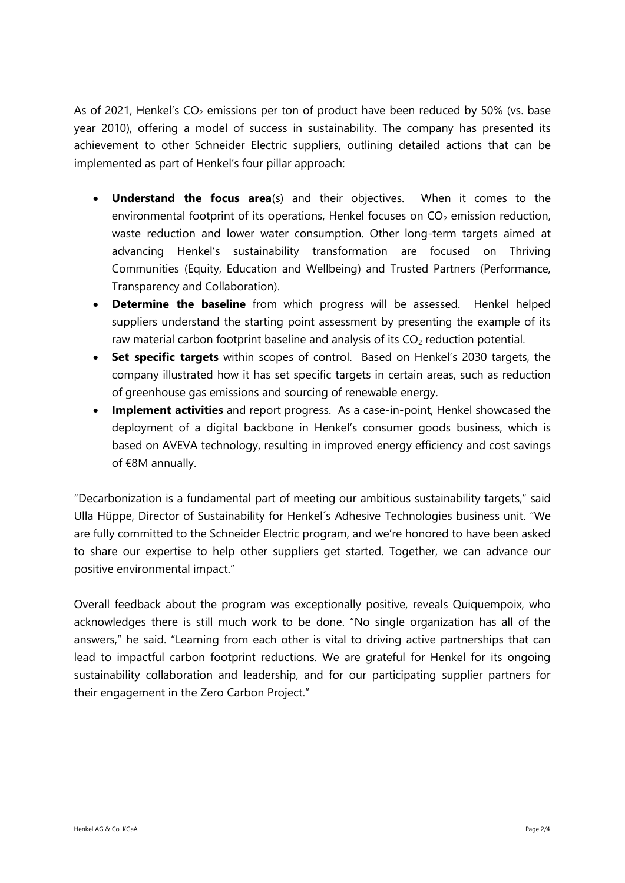As of 2021, Henkel's  $CO<sub>2</sub>$  emissions per ton of product have been reduced by 50% (vs. base year 2010), offering a model of success in sustainability. The company has presented its achievement to other Schneider Electric suppliers, outlining detailed actions that can be implemented as part of Henkel's four pillar approach:

- **Understand the focus area**(s) and their objectives. When it comes to the environmental footprint of its operations, Henkel focuses on  $CO<sub>2</sub>$  emission reduction, waste reduction and lower water consumption. Other long-term targets aimed at advancing Henkel's sustainability transformation are focused on Thriving Communities (Equity, Education and Wellbeing) and Trusted Partners (Performance, Transparency and Collaboration).
- **Determine the baseline** from which progress will be assessed. Henkel helped suppliers understand the starting point assessment by presenting the example of its raw material carbon footprint baseline and analysis of its  $CO<sub>2</sub>$  reduction potential.
- **Set specific targets** within scopes of control. Based on Henkel's 2030 targets, the company illustrated how it has set specific targets in certain areas, such as reduction of greenhouse gas emissions and sourcing of renewable energy.
- **Implement activities** and report progress. As a case-in-point, Henkel showcased the deployment of a digital backbone in Henkel's consumer goods business, which is based on AVEVA technology, resulting in improved energy efficiency and cost savings of €8M annually.

"Decarbonization is a fundamental part of meeting our ambitious sustainability targets," said Ulla Hüppe, Director of Sustainability for Henkel´s Adhesive Technologies business unit. "We are fully committed to the Schneider Electric program, and we're honored to have been asked to share our expertise to help other suppliers get started. Together, we can advance our positive environmental impact."

Overall feedback about the program was exceptionally positive, reveals Quiquempoix, who acknowledges there is still much work to be done. "No single organization has all of the answers," he said. "Learning from each other is vital to driving active partnerships that can lead to impactful carbon footprint reductions. We are grateful for Henkel for its ongoing sustainability collaboration and leadership, and for our participating supplier partners for their engagement in the Zero Carbon Project."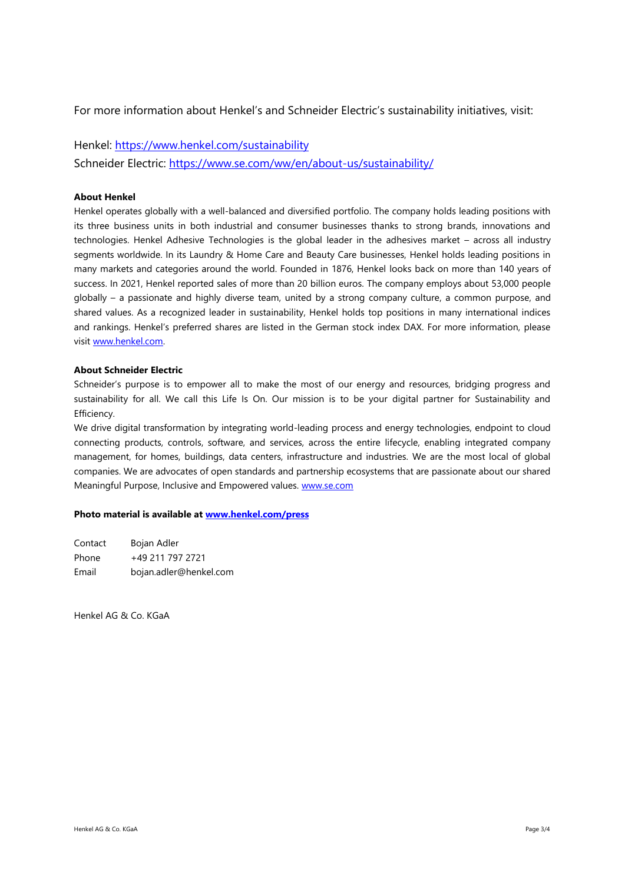For more information about Henkel's and Schneider Electric's sustainability initiatives, visit:

### Henkel:<https://www.henkel.com/sustainability>

Schneider Electric:<https://www.se.com/ww/en/about-us/sustainability/>

#### **About Henkel**

Henkel operates globally with a well-balanced and diversified portfolio. The company holds leading positions with its three business units in both industrial and consumer businesses thanks to strong brands, innovations and technologies. Henkel Adhesive Technologies is the global leader in the adhesives market – across all industry segments worldwide. In its Laundry & Home Care and Beauty Care businesses, Henkel holds leading positions in many markets and categories around the world. Founded in 1876, Henkel looks back on more than 140 years of success. In 2021, Henkel reported sales of more than 20 billion euros. The company employs about 53,000 people globally – a passionate and highly diverse team, united by a strong company culture, a common purpose, and shared values. As a recognized leader in sustainability, Henkel holds top positions in many international indices and rankings. Henkel's preferred shares are listed in the German stock index DAX. For more information, please visi[t www.henkel.com.](file:///C:/Users/fischerl/AppData/Local/Microsoft/Windows/INetCache/Content.Outlook/2MGCYH4Y/www.henkel.com)

#### **About Schneider Electric**

Schneider's purpose is to empower all to make the most of our energy and resources, bridging progress and sustainability for all. We call this Life Is On. Our mission is to be your digital partner for Sustainability and Efficiency.

We drive digital transformation by integrating world-leading process and energy technologies, endpoint to cloud connecting products, controls, software, and services, across the entire lifecycle, enabling integrated company management, for homes, buildings, data centers, infrastructure and industries. We are the most local of global companies. We are advocates of open standards and partnership ecosystems that are passionate about our shared Meaningful Purpose, Inclusive and Empowered values. [www.se.com](http://www.se.com/)

#### **Photo material is available at [www.henkel.com/press](http://www.henkel.com/press)**

| Contact | Bojan Adler            |
|---------|------------------------|
| Phone   | +49 211 797 2721       |
| Email   | bojan.adler@henkel.com |

Henkel AG & Co. KGaA